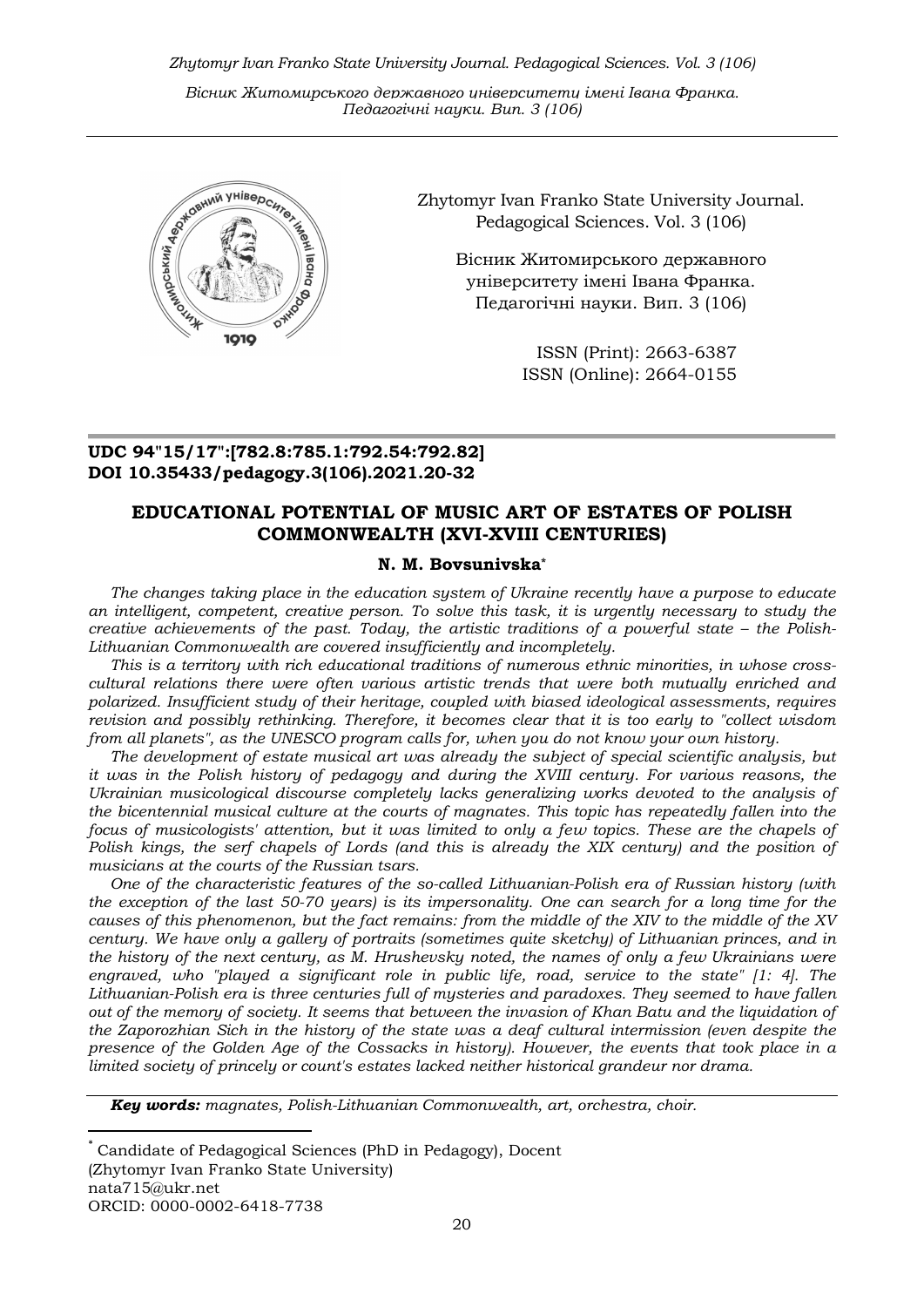Zhytomyr Ivan Franko State University Journal. Рedagogical Sciences. Vol. 3 (106)

Вісник Житомирського державного університету імені Івана Франка. Педагогічні науки. Вип. 3 (106)



Zhytomyr Ivan Franko State University Journal. Рedagogical Sciences. Vol. 3 (106)

Вісник Житомирського державного університету імені Івана Франка. Педагогічні науки. Вип. 3 (106)

> ISSN (Print): 2663-6387 ISSN (Online): 2664-0155

## UDC 94"15/17":[782.8:785.1:792.54:792.82] DOI 10.35433/pedagogy.3(106).2021.20-32

## EDUCATIONAL POTENTIAL OF MUSIC ART OF ESTATES OF POLISH COMMONWEALTH (XVI-XVIII CENTURIES)

## N. M. Bovsunivska\*

The changes taking place in the education system of Ukraine recently have a purpose to educate an intelligent, competent, creative person. To solve this task, it is urgently necessary to study the creative achievements of the past. Today, the artistic traditions of a powerful state – the Polish-Lithuanian Commonwealth are covered insufficiently and incompletely.

This is a territory with rich educational traditions of numerous ethnic minorities, in whose crosscultural relations there were often various artistic trends that were both mutually enriched and polarized. Insufficient study of their heritage, coupled with biased ideological assessments, requires revision and possibly rethinking. Therefore, it becomes clear that it is too early to "collect wisdom from all planets", as the UNESCO program calls for, when you do not know your own history.

The development of estate musical art was already the subject of special scientific analysis, but it was in the Polish history of pedagogy and during the XVIII century. For various reasons, the Ukrainian musicological discourse completely lacks generalizing works devoted to the analysis of the bicentennial musical culture at the courts of magnates. This topic has repeatedly fallen into the focus of musicologists' attention, but it was limited to only a few topics. These are the chapels of Polish kings, the serf chapels of Lords (and this is already the XIX century) and the position of musicians at the courts of the Russian tsars.

One of the characteristic features of the so-called Lithuanian-Polish era of Russian history (with the exception of the last 50-70 years) is its impersonality. One can search for a long time for the causes of this phenomenon, but the fact remains: from the middle of the XIV to the middle of the XV century. We have only a gallery of portraits (sometimes quite sketchy) of Lithuanian princes, and in the history of the next century, as M. Hrushevsky noted, the names of only a few Ukrainians were engraved, who "played a significant role in public life, road, service to the state" [1: 4]. The Lithuanian-Polish era is three centuries full of mysteries and paradoxes. They seemed to have fallen out of the memory of society. It seems that between the invasion of Khan Batu and the liquidation of the Zaporozhian Sich in the history of the state was a deaf cultural intermission (even despite the presence of the Golden Age of the Cossacks in history). However, the events that took place in a limited society of princely or count's estates lacked neither historical grandeur nor drama.

Key words: magnates, Polish-Lithuanian Commonwealth, art, orchestra, choir.

-

<sup>\*</sup> Candidate of Pedagogical Sciences (PhD in Pedagogy), Docent (Zhytomyr Ivan Franko State University) nata715@ukr.net ORCID: 0000-0002-6418-7738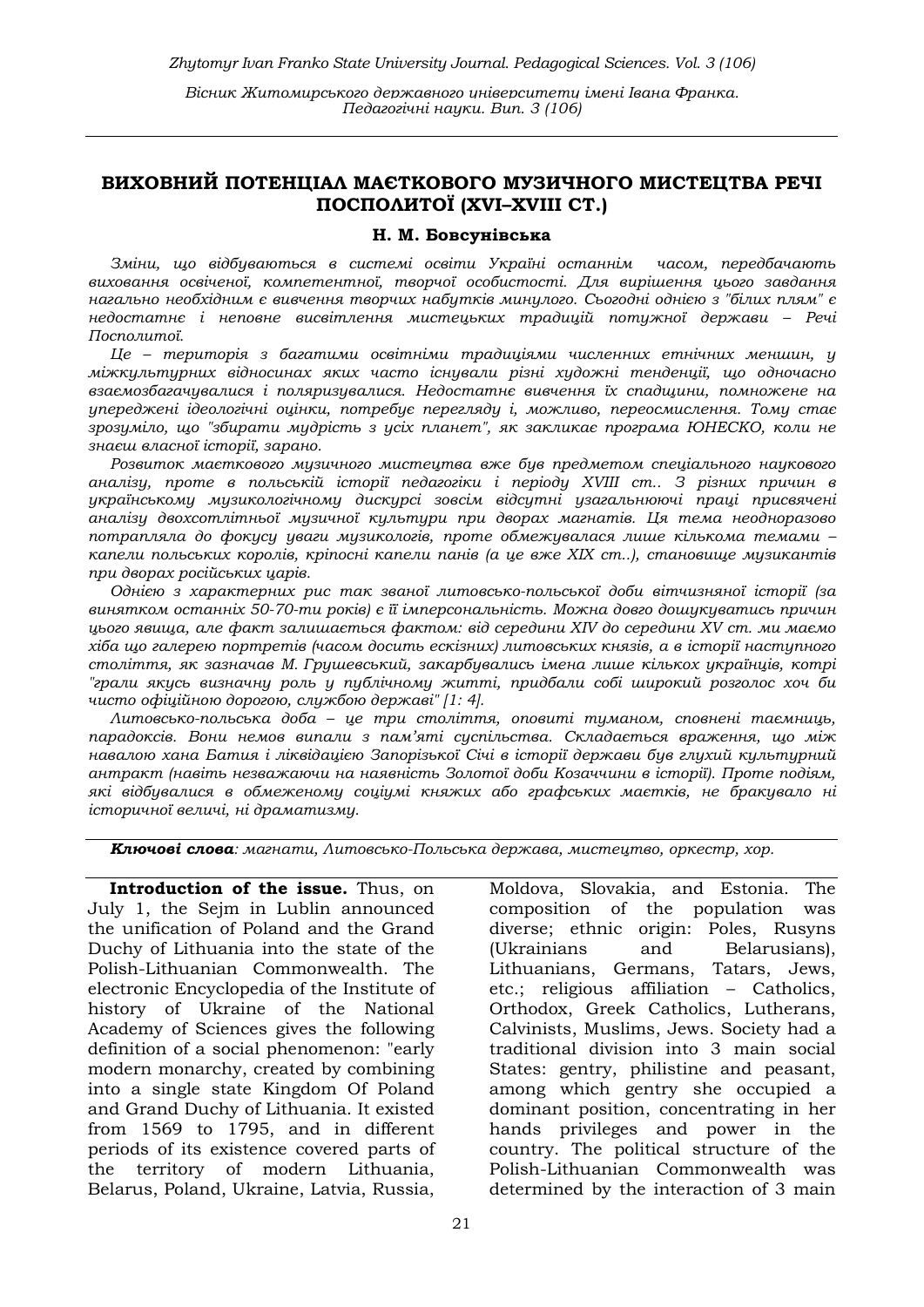# ВИХОВНИЙ ПОТЕНЦІАЛ МАЄТКОВОГО МУЗИЧНОГО МИСТЕЦТВА РЕЧІ ПОСПОЛИТОЇ (XVI–XVIII СТ.)

#### Н. М. Бовсунівська

Зміни, щo вiдбувaютьcя в системі освіти Укрaїнi останнім часом, передбачають виховання освіченої, компетентної, творчої особистості. Для вирішення цього завдання нагально необхідним є вивчення творчих набутків минулого. Сьогодні однією з "білих плям" є недостатнє і неповне висвітлення мистецьких традицій потужної держави – Речі Посполитої.

Це – територія з багатими освітніми традиціями численних етнічних меншин, у міжкультурних відносинах яких часто існували різні художні тенденції, що одночасно взаємозбагачувалися і поляризувалися. Недостатнє вивчення їх спадщини, помножене на упереджені ідеологічні оцінки, потребує перегляду і, можливо, переосмислення. Тому стає зрозуміло, що "збирати мудрість з усіх планет", як закликає програма ЮНЕСКО, коли не знаєш власної історії, зарано.

Розвиток маєткового музичного мистецтва вже був предметом спеціального наукового аналізу, проте в польській історії педагогіки і періоду XVIII ст.. З різних причин в українському музикологічному дискурсі зовсім відсутні узагальнюючі праці присвячені аналізу двохсотлітньої музичної культури при дворах магнатів. Ця тема неодноразово потрапляла до фокусу уваги музикологів, проте обмежувалася лише кількома темами – капели польських королів, кріпосні капели панів (а це вже XIX ст..), становище музикантів при дворах російських царів.

Однією з характерних рис так званої литовсько-польської доби вітчизняної історії (за винятком останніх 50-70-ти років) є її імперсональність. Можна довго дошукуватись причин цього явища, але факт залишається фактом: від середини XIV до середини XV ст. ми маємо хіба що галерею портретів (часом досить ескізних) литовських князів, а в історії наступного століття, як зазначав М. Грушевський, закарбувались імена лише кількох українців, котрі "грали якусь визначну роль у публічному житті, придбали собі широкий розголос хоч би чисто офіційною дорогою, службою державі" [1: 4].

Литовсько-польська доба – це три століття, оповиті туманом, сповнені таємниць, парадоксів. Вони немов випали з пам'яті суспільства. Складається враження, що між навалою хана Батия і ліквідацією Запорізької Січі в історії держави був глухий культурний антракт (навіть незважаючи на наявність Золотої доби Козаччини в історії). Проте подіям, які відбувалися в обмеженому соціумі княжих або графських маєтків, не бракувало ні історичної величі, ні драматизму.

Ключові слова: магнати, Литовсько-Польська держава, мистецтво, оркестр, хор.

Introduction of the issue. Thus, on July 1, the Sejm in Lublin announced the unification of Poland and the Grand Duchy of Lithuania into the state of the Polish-Lithuanian Commonwealth. The electronic Encyclopedia of the Institute of history of Ukraine of the National Academy of Sciences gives the following definition of a social phenomenon: "early modern monarchy, created by combining into a single state Kingdom Of Poland and Grand Duchy of Lithuania. It existed from 1569 to 1795, and in different periods of its existence covered parts of the territory of modern Lithuania, Belarus, Poland, Ukraine, Latvia, Russia,

Moldova, Slovakia, and Estonia. The composition of the population was diverse; ethnic origin: Poles, Rusyns (Ukrainians and Belarusians), Lithuanians, Germans, Tatars, Jews, etc.; religious affiliation – Catholics, Orthodox, Greek Catholics, Lutherans, Calvinists, Muslims, Jews. Society had a traditional division into 3 main social States: gentry, philistine and peasant, among which gentry she occupied a dominant position, concentrating in her hands privileges and power in the country. The political structure of the Polish-Lithuanian Commonwealth was determined by the interaction of 3 main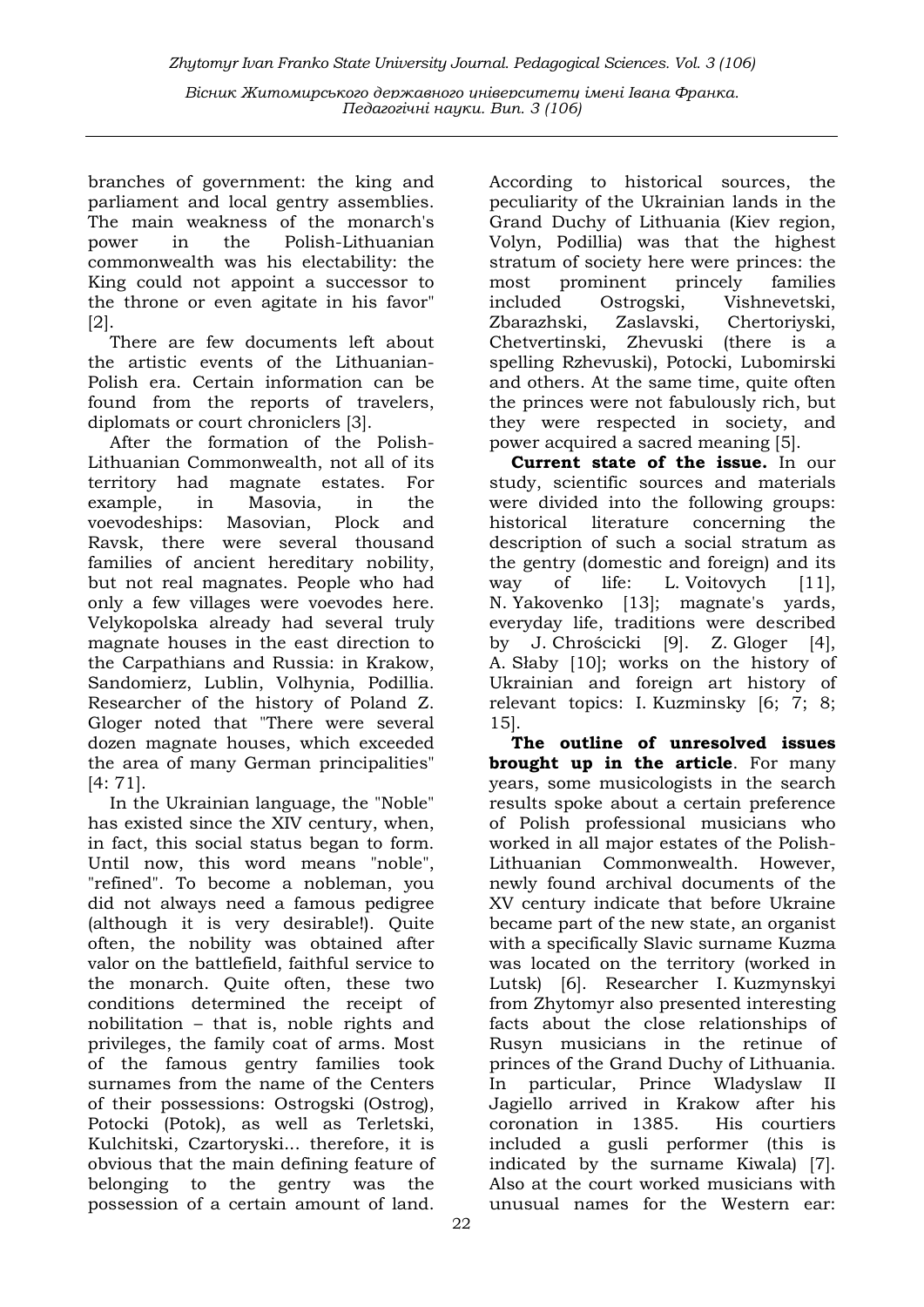branches of government: the king and parliament and local gentry assemblies. The main weakness of the monarch's power in the Polish-Lithuanian commonwealth was his electability: the King could not appoint a successor to the throne or even agitate in his favor" [2].

There are few documents left about the artistic events of the Lithuanian-Polish era. Certain information can be found from the reports of travelers, diplomats or court chroniclers [3].

After the formation of the Polish-Lithuanian Commonwealth, not all of its territory had magnate estates. For example, in Masovia, in the voevodeships: Masovian, Plock and Ravsk, there were several thousand families of ancient hereditary nobility, but not real magnates. People who had only a few villages were voevodes here. Velykopolska already had several truly magnate houses in the east direction to the Carpathians and Russia: in Krakow, Sandomierz, Lublin, Volhynia, Podillia. Researcher of the history of Poland Z. Gloger noted that "There were several dozen magnate houses, which exceeded the area of many German principalities" [4: 71].

In the Ukrainian language, the "Noble" has existed since the XIV century, when, in fact, this social status began to form. Until now, this word means "noble", "refined". To become a nobleman, you did not always need a famous pedigree (although it is very desirable!). Quite often, the nobility was obtained after valor on the battlefield, faithful service to the monarch. Quite often, these two conditions determined the receipt of nobilitation – that is, noble rights and privileges, the family coat of arms. Most of the famous gentry families took surnames from the name of the Centers of their possessions: Ostrogski (Ostrog), Potocki (Potok), as well as Terletski, Kulchitski, Czartoryski... therefore, it is obvious that the main defining feature of belonging to the gentry was the possession of a certain amount of land.

According to historical sources, the peculiarity of the Ukrainian lands in the Grand Duchy of Lithuania (Kiev region, Volyn, Podillia) was that the highest stratum of society here were princes: the most prominent princely families included Ostrogski, Vishnevetski, Zbarazhski, Zaslavski, Chertoriyski, Chetvertinski, Zhevuski (there is a spelling Rzhevuski), Potocki, Lubomirski and others. At the same time, quite often the princes were not fabulously rich, but they were respected in society, and power acquired a sacred meaning [5].

Current state of the issue. In our study, scientific sources and materials were divided into the following groups: historical literature concerning the description of such a social stratum as the gentry (domestic and foreign) and its way of life: L. Voitovych [11], N. Yakovenko [13]; magnate's yards, everyday life, traditions were described by J. Chrościcki [9]. Z. Gloger [4], A. Słaby [10]; works on the history of Ukrainian and foreign art history of relevant topics: I. Kuzminsky [6; 7; 8; 15].

The outline of unresolved issues brought up in the article. For many years, some musicologists in the search results spoke about a certain preference of Polish professional musicians who worked in all major estates of the Polish-Lithuanian Commonwealth. However, newly found archival documents of the XV century indicate that before Ukraine became part of the new state, an organist with a specifically Slavic surname Kuzma was located on the territory (worked in Lutsk) [6]. Researcher I. Kuzmynskyi from Zhytomyr also presented interesting facts about the close relationships of Rusyn musicians in the retinue of princes of the Grand Duchy of Lithuania. In particular, Prince Wladyslaw II Jagiello arrived in Krakow after his coronation in 1385. His courtiers included a gusli performer (this is indicated by the surname Kiwala) [7]. Also at the court worked musicians with unusual names for the Western ear: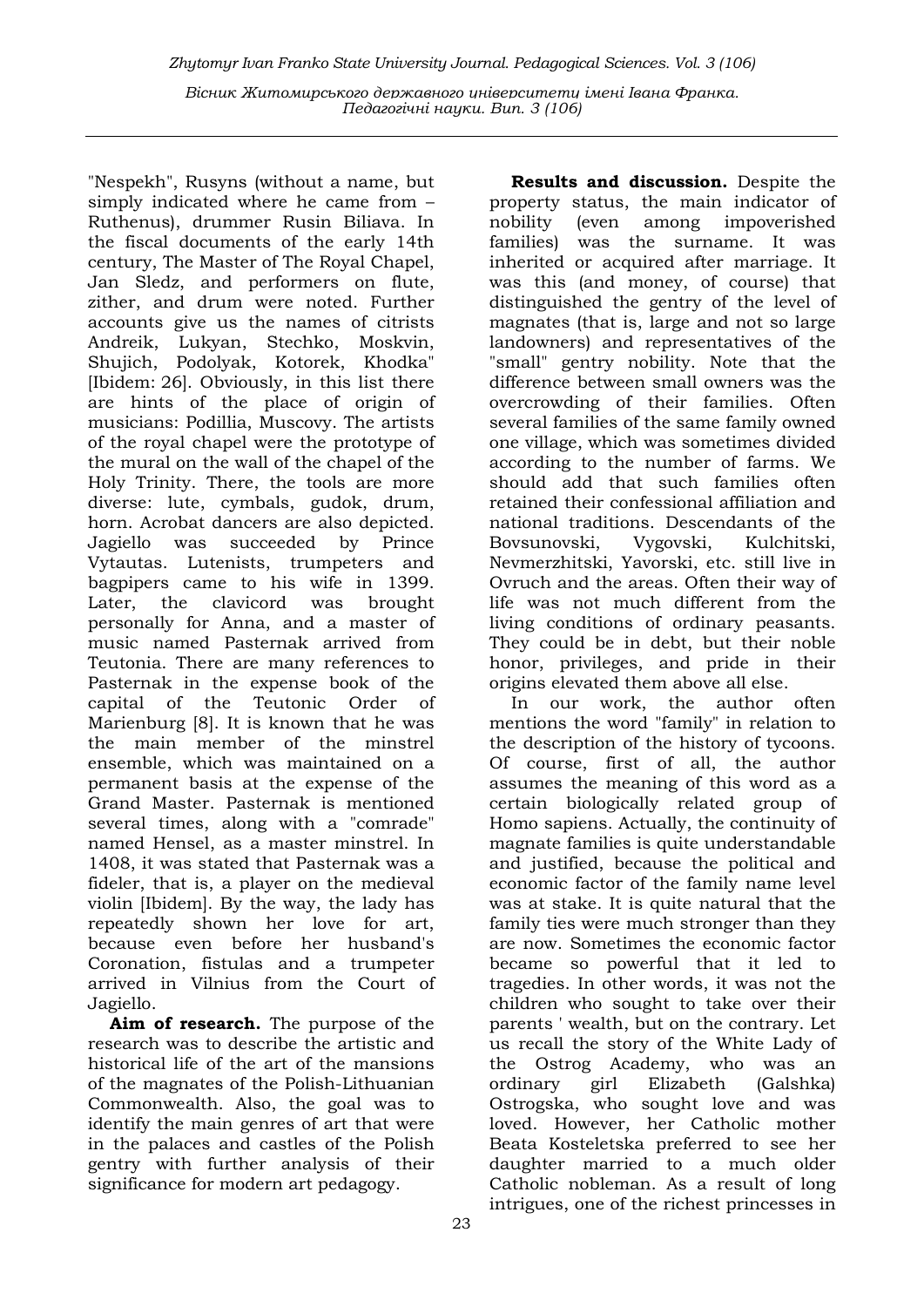"Nespekh", Rusyns (without a name, but simply indicated where he came from – Ruthenus), drummer Rusin Biliava. In the fiscal documents of the early 14th century, The Master of The Royal Chapel, Jan Sledz, and performers on flute, zither, and drum were noted. Further accounts give us the names of citrists Andreik, Lukyan, Stechko, Moskvin, Shujich, Podolyak, Kotorek, Khodka" [Ibidem: 26]. Obviously, in this list there are hints of the place of origin of musicians: Podillia, Muscovy. The artists of the royal chapel were the prototype of the mural on the wall of the chapel of the Holy Trinity. There, the tools are more diverse: lute, cymbals, gudok, drum, horn. Acrobat dancers are also depicted. Jagiello was succeeded by Prince Vytautas. Lutenists, trumpeters and bagpipers came to his wife in 1399. Later, the clavicord was brought personally for Anna, and a master of music named Pasternak arrived from Teutonia. There are many references to Pasternak in the expense book of the capital of the Teutonic Order of Marienburg [8]. It is known that he was the main member of the minstrel ensemble, which was maintained on a permanent basis at the expense of the Grand Master. Pasternak is mentioned several times, along with a "comrade" named Hensel, as a master minstrel. In 1408, it was stated that Pasternak was a fideler, that is, a player on the medieval violin [Ibidem]. By the way, the lady has repeatedly shown her love for art, because even before her husband's Coronation, fistulas and a trumpeter arrived in Vilnius from the Court of Jagiello.

Aim of research. The purpose of the research was to describe the artistic and historical life of the art of the mansions of the magnates of the Polish-Lithuanian Commonwealth. Also, the goal was to identify the main genres of art that were in the palaces and castles of the Polish gentry with further analysis of their significance for modern art pedagogy.

Results and discussion. Despite the property status, the main indicator of nobility (even among impoverished families) was the surname. It was inherited or acquired after marriage. It was this (and money, of course) that distinguished the gentry of the level of magnates (that is, large and not so large landowners) and representatives of the "small" gentry nobility. Note that the difference between small owners was the overcrowding of their families. Often several families of the same family owned one village, which was sometimes divided according to the number of farms. We should add that such families often retained their confessional affiliation and national traditions. Descendants of the Bovsunovski, Vygovski, Kulchitski, Nevmerzhitski, Yavorski, etc. still live in Ovruch and the areas. Often their way of life was not much different from the living conditions of ordinary peasants. They could be in debt, but their noble honor, privileges, and pride in their origins elevated them above all else.

In our work, the author often mentions the word "family" in relation to the description of the history of tycoons. Of course, first of all, the author assumes the meaning of this word as a certain biologically related group of Homo sapiens. Actually, the continuity of magnate families is quite understandable and justified, because the political and economic factor of the family name level was at stake. It is quite natural that the family ties were much stronger than they are now. Sometimes the economic factor became so powerful that it led to tragedies. In other words, it was not the children who sought to take over their parents ' wealth, but on the contrary. Let us recall the story of the White Lady of the Ostrog Academy, who was an ordinary girl Elizabeth (Galshka) Ostrogska, who sought love and was loved. However, her Catholic mother Beata Kosteletska preferred to see her daughter married to a much older Catholic nobleman. As a result of long intrigues, one of the richest princesses in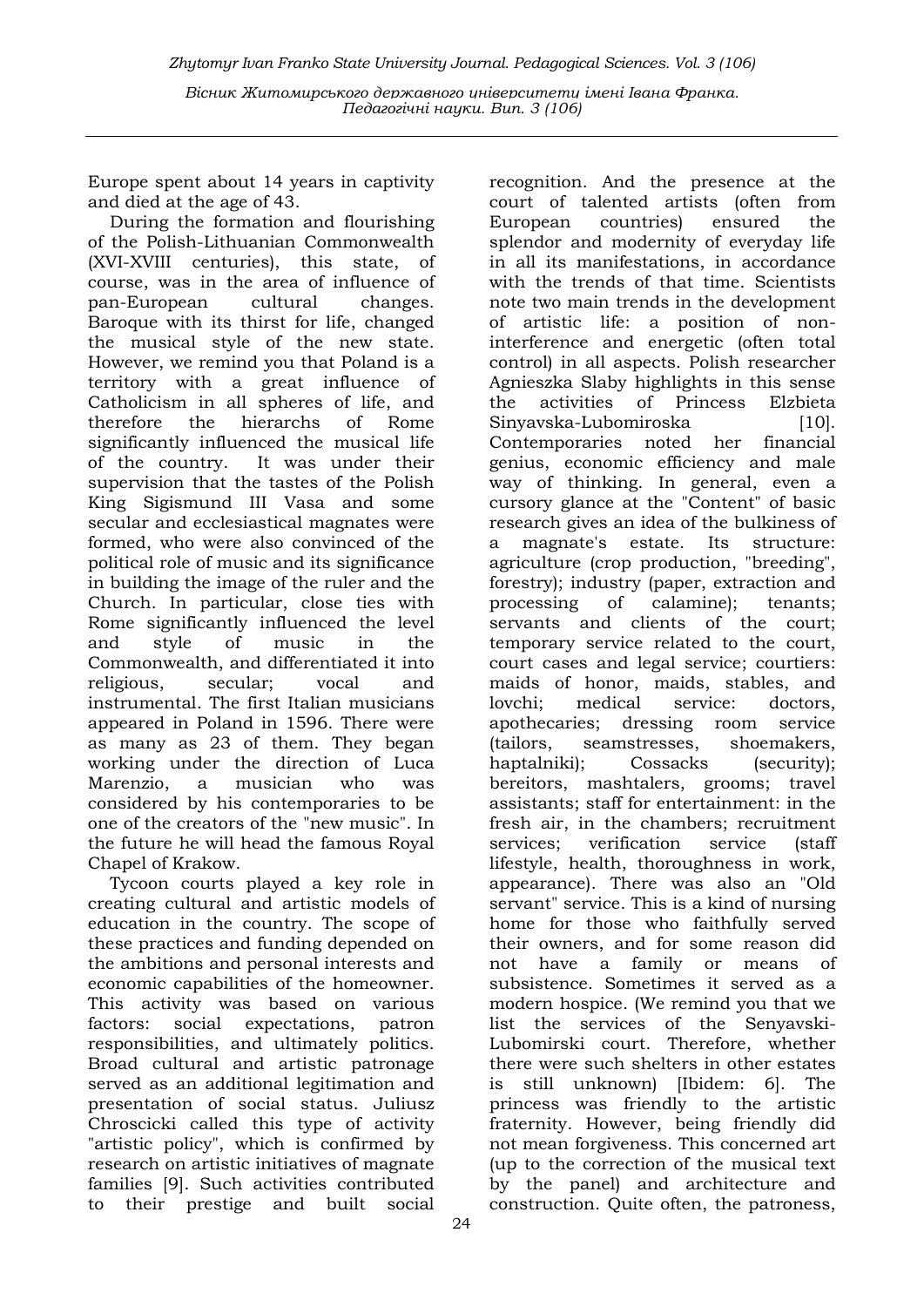Zhytomyr Ivan Franko State University Journal. Рedagogical Sciences. Vol. 3 (106) Вісник Житомирського державного університету імені Івана Франка. Педагогічні науки. Вип. 3 (106)

Europe spent about 14 years in captivity and died at the age of 43.

During the formation and flourishing of the Polish-Lithuanian Commonwealth (XVI-XVIII centuries), this state, of course, was in the area of influence of pan-European cultural changes. Baroque with its thirst for life, changed the musical style of the new state. However, we remind you that Poland is a territory with a great influence of Catholicism in all spheres of life, and therefore the hierarchs of Rome significantly influenced the musical life of the country. It was under their supervision that the tastes of the Polish King Sigismund III Vasa and some secular and ecclesiastical magnates were formed, who were also convinced of the political role of music and its significance in building the image of the ruler and the Church. In particular, close ties with Rome significantly influenced the level and style of music in the Commonwealth, and differentiated it into religious, secular; vocal and instrumental. The first Italian musicians appeared in Poland in 1596. There were as many as 23 of them. They began working under the direction of Luca Marenzio, a musician who was considered by his contemporaries to be one of the creators of the "new music". In the future he will head the famous Royal Chapel of Krakow.

Tycoon courts played a key role in creating cultural and artistic models of education in the country. The scope of these practices and funding depended on the ambitions and personal interests and economic capabilities of the homeowner. This activity was based on various factors: social expectations, patron responsibilities, and ultimately politics. Broad cultural and artistic patronage served as an additional legitimation and presentation of social status. Juliusz Chroscicki called this type of activity "artistic policy", which is confirmed by research on artistic initiatives of magnate families [9]. Such activities contributed to their prestige and built social

court of talented artists (often from European countries) ensured the splendor and modernity of everyday life in all its manifestations, in accordance with the trends of that time. Scientists note two main trends in the development of artistic life: a position of noninterference and energetic (often total control) in all aspects. Polish researcher Agnieszka Slaby highlights in this sense the activities of Princess Elzbieta Sinyavska-Lubomiroska [10]. Contemporaries noted her financial genius, economic efficiency and male way of thinking. In general, even a cursory glance at the "Content" of basic research gives an idea of the bulkiness of a magnate's estate. Its structure: agriculture (crop production, "breeding", forestry); industry (paper, extraction and processing of calamine); tenants; servants and clients of the court; temporary service related to the court, court cases and legal service; courtiers: maids of honor, maids, stables, and lovchi; medical service: doctors, apothecaries; dressing room service (tailors, seamstresses, shoemakers, haptalniki); Cossacks (security); bereitors, mashtalers, grooms; travel assistants; staff for entertainment: in the fresh air, in the chambers; recruitment services; verification service (staff lifestyle, health, thoroughness in work, appearance). There was also an "Old servant" service. This is a kind of nursing home for those who faithfully served their owners, and for some reason did not have a family or means of subsistence. Sometimes it served as a modern hospice. (We remind you that we list the services of the Senyavski-Lubomirski court. Therefore, whether there were such shelters in other estates is still unknown) [Ibidem: 6]. The princess was friendly to the artistic fraternity. However, being friendly did not mean forgiveness. This concerned art (up to the correction of the musical text by the panel) and architecture and construction. Quite often, the patroness,

recognition. And the presence at the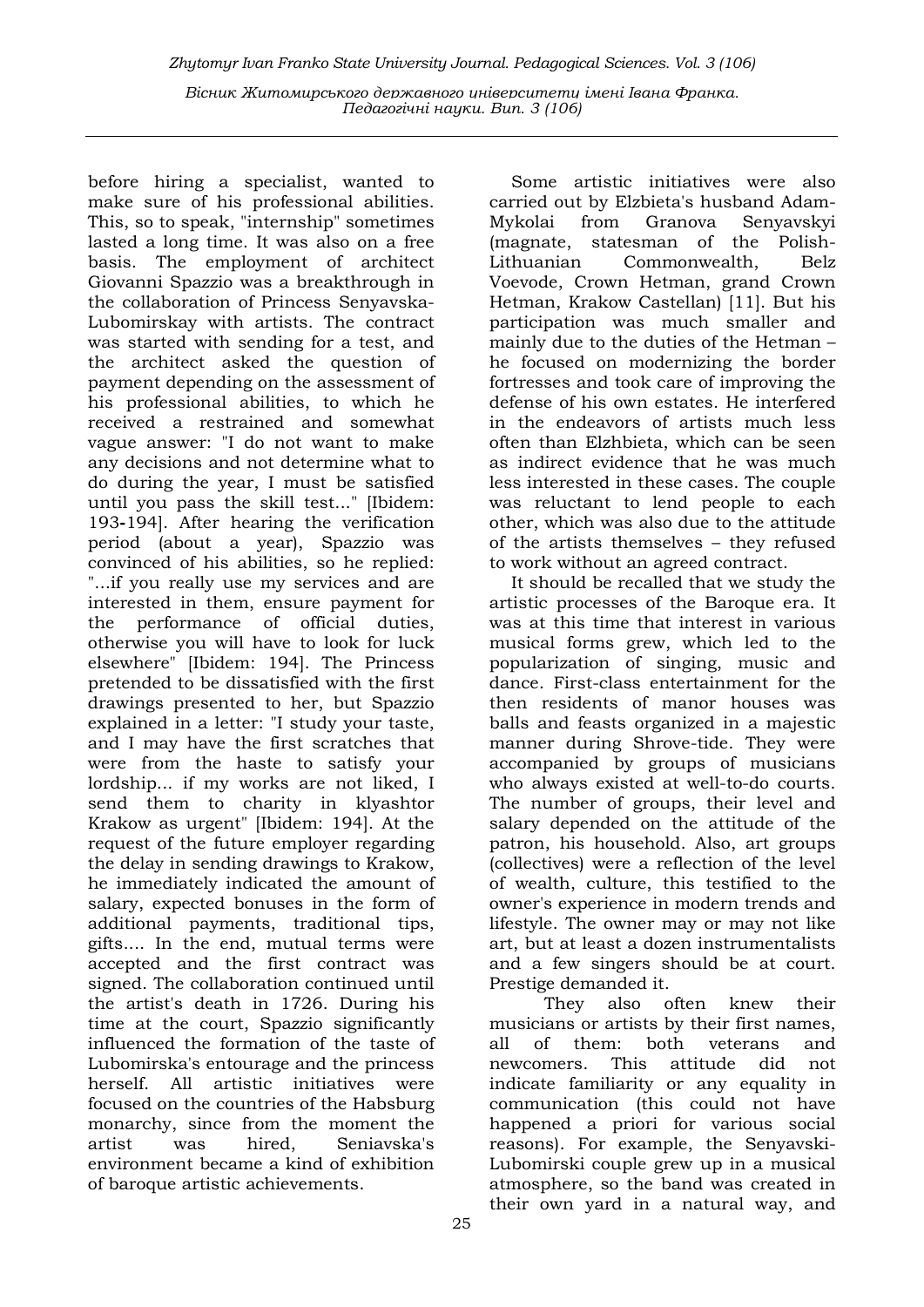before hiring a specialist, wanted to make sure of his professional abilities. This, so to speak, "internship" sometimes lasted a long time. It was also on a free basis. The employment of architect Giovanni Spazzio was a breakthrough in the collaboration of Princess Senyavska-Lubomirskay with artists. The contract was started with sending for a test, and the architect asked the question of payment depending on the assessment of his professional abilities, to which he received a restrained and somewhat vague answer: "I do not want to make any decisions and not determine what to do during the year, I must be satisfied until you pass the skill test..." [Ibidem: 193-194]. After hearing the verification period (about a year), Spazzio was convinced of his abilities, so he replied: "...if you really use my services and are interested in them, ensure payment for the performance of official duties, otherwise you will have to look for luck elsewhere" [Ibidem: 194]. The Princess pretended to be dissatisfied with the first drawings presented to her, but Spazzio explained in a letter: "I study your taste, and I may have the first scratches that were from the haste to satisfy your lordship... if my works are not liked, I send them to charity in klyashtor Krakow as urgent" [Ibidem: 194]. At the request of the future employer regarding the delay in sending drawings to Krakow, he immediately indicated the amount of salary, expected bonuses in the form of additional payments, traditional tips, gifts.... In the end, mutual terms were accepted and the first contract was signed. The collaboration continued until the artist's death in 1726. During his time at the court, Spazzio significantly influenced the formation of the taste of Lubomirska's entourage and the princess herself. All artistic initiatives were focused on the countries of the Habsburg monarchy, since from the moment the artist was hired, Seniavska's environment became a kind of exhibition of baroque artistic achievements.

Some artistic initiatives were also carried out by Elzbieta's husband Adam-Mykolai from Granova Senyavskyi (magnate, statesman of the Polish-Lithuanian Commonwealth, Belz Voevode, Crown Hetman, grand Crown Hetman, Krakow Castellan) [11]. But his participation was much smaller and mainly due to the duties of the Hetman – he focused on modernizing the border fortresses and took care of improving the defense of his own estates. He interfered in the endeavors of artists much less often than Elzhbieta, which can be seen as indirect evidence that he was much less interested in these cases. The couple was reluctant to lend people to each other, which was also due to the attitude of the artists themselves – they refused to work without an agreed contract.

It should be recalled that we study the artistic processes of the Baroque era. It was at this time that interest in various musical forms grew, which led to the popularization of singing, music and dance. First-class entertainment for the then residents of manor houses was balls and feasts organized in a majestic manner during Shrove-tide. They were accompanied by groups of musicians who always existed at well-to-do courts. The number of groups, their level and salary depended on the attitude of the patron, his household. Also, art groups (collectives) were a reflection of the level of wealth, culture, this testified to the owner's experience in modern trends and lifestyle. The owner may or may not like art, but at least a dozen instrumentalists and a few singers should be at court. Prestige demanded it.

 They also often knew their musicians or artists by their first names, all of them: both veterans and newcomers. This attitude did not indicate familiarity or any equality in communication (this could not have happened a priori for various social reasons). For example, the Senyavski-Lubomirski couple grew up in a musical atmosphere, so the band was created in their own yard in a natural way, and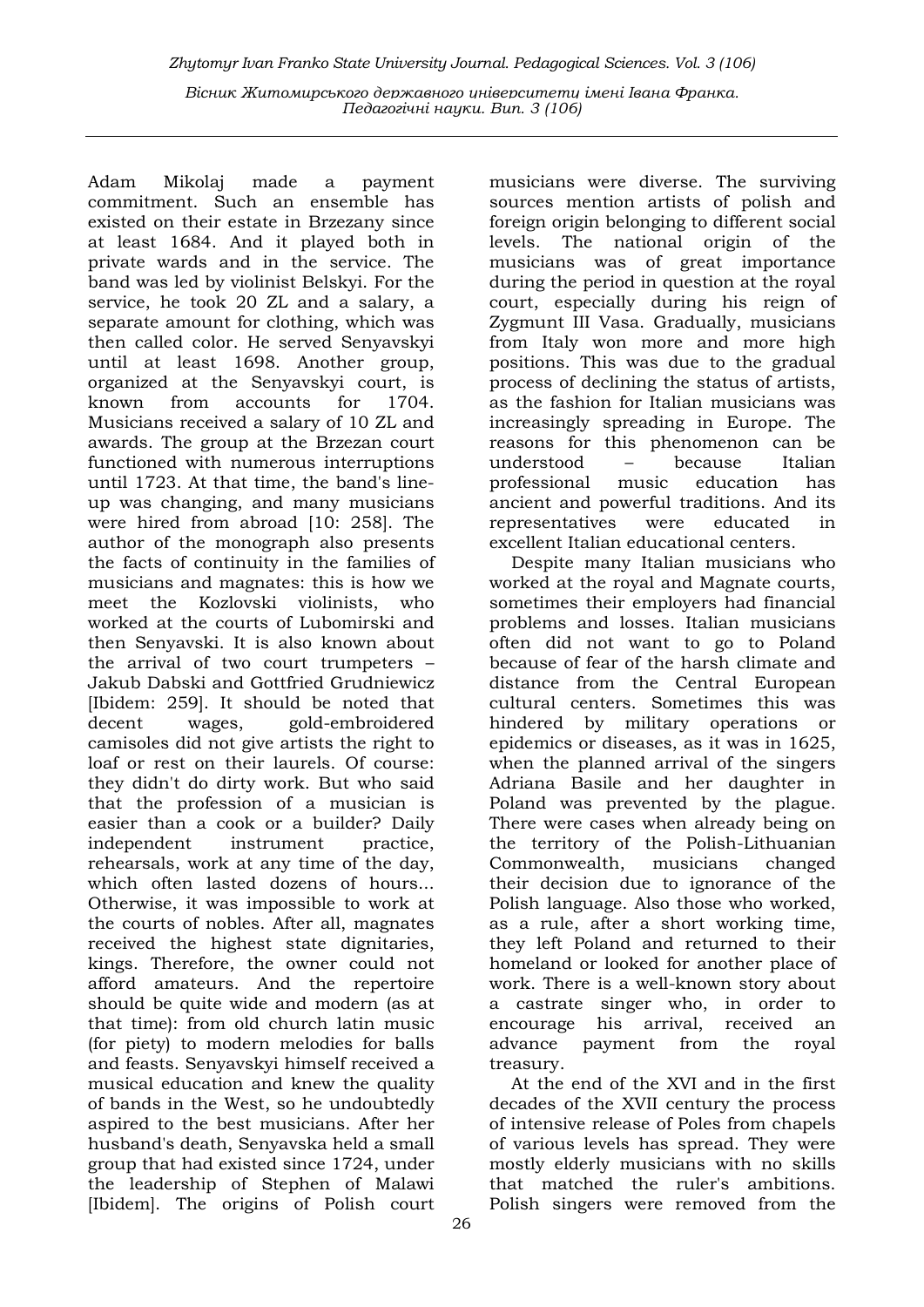Adam Mikolaj made a payment commitment. Such an ensemble has existed on their estate in Brzezany since at least 1684. And it played both in private wards and in the service. The band was led by violinist Belskyi. For the service, he took 20 ZL and a salary, a separate amount for clothing, which was then called color. He served Senyavskyi until at least 1698. Another group, organized at the Senyavskyi court, is known from accounts for 1704. Musicians received a salary of 10 ZL and awards. The group at the Brzezan court functioned with numerous interruptions until 1723. At that time, the band's lineup was changing, and many musicians were hired from abroad [10: 258]. The author of the monograph also presents the facts of continuity in the families of musicians and magnates: this is how we meet the Kozlovski violinists, who worked at the courts of Lubomirski and then Senyavski. It is also known about the arrival of two court trumpeters – Jakub Dabski and Gottfried Grudniewicz [Ibidem: 259]. It should be noted that decent wages, gold-embroidered camisoles did not give artists the right to loaf or rest on their laurels. Of course: they didn't do dirty work. But who said that the profession of a musician is easier than a cook or a builder? Daily independent instrument practice, rehearsals, work at any time of the day, which often lasted dozens of hours... Otherwise, it was impossible to work at the courts of nobles. After all, magnates received the highest state dignitaries, kings. Therefore, the owner could not afford amateurs. And the repertoire should be quite wide and modern (as at that time): from old church latin music (for piety) to modern melodies for balls and feasts. Senyavskyi himself received a musical education and knew the quality of bands in the West, so he undoubtedly aspired to the best musicians. After her husband's death, Senyavska held a small group that had existed since 1724, under the leadership of Stephen of Malawi [Ibidem]. The origins of Polish court

26

musicians were diverse. The surviving sources mention artists of polish and foreign origin belonging to different social levels. The national origin of the musicians was of great importance during the period in question at the royal court, especially during his reign of Zygmunt III Vasa. Gradually, musicians from Italy won more and more high positions. This was due to the gradual process of declining the status of artists, as the fashion for Italian musicians was increasingly spreading in Europe. The reasons for this phenomenon can be understood – because Italian professional music education has ancient and powerful traditions. And its representatives were educated in excellent Italian educational centers.

Despite many Italian musicians who worked at the royal and Magnate courts, sometimes their employers had financial problems and losses. Italian musicians often did not want to go to Poland because of fear of the harsh climate and distance from the Central European cultural centers. Sometimes this was hindered by military operations or epidemics or diseases, as it was in 1625, when the planned arrival of the singers Adriana Basile and her daughter in Poland was prevented by the plague. There were cases when already being on the territory of the Polish-Lithuanian Commonwealth, musicians changed their decision due to ignorance of the Polish language. Also those who worked, as a rule, after a short working time, they left Poland and returned to their homeland or looked for another place of work. There is a well-known story about a castrate singer who, in order to encourage his arrival, received an advance payment from the royal treasury.

At the end of the XVI and in the first decades of the XVII century the process of intensive release of Poles from chapels of various levels has spread. They were mostly elderly musicians with no skills that matched the ruler's ambitions. Polish singers were removed from the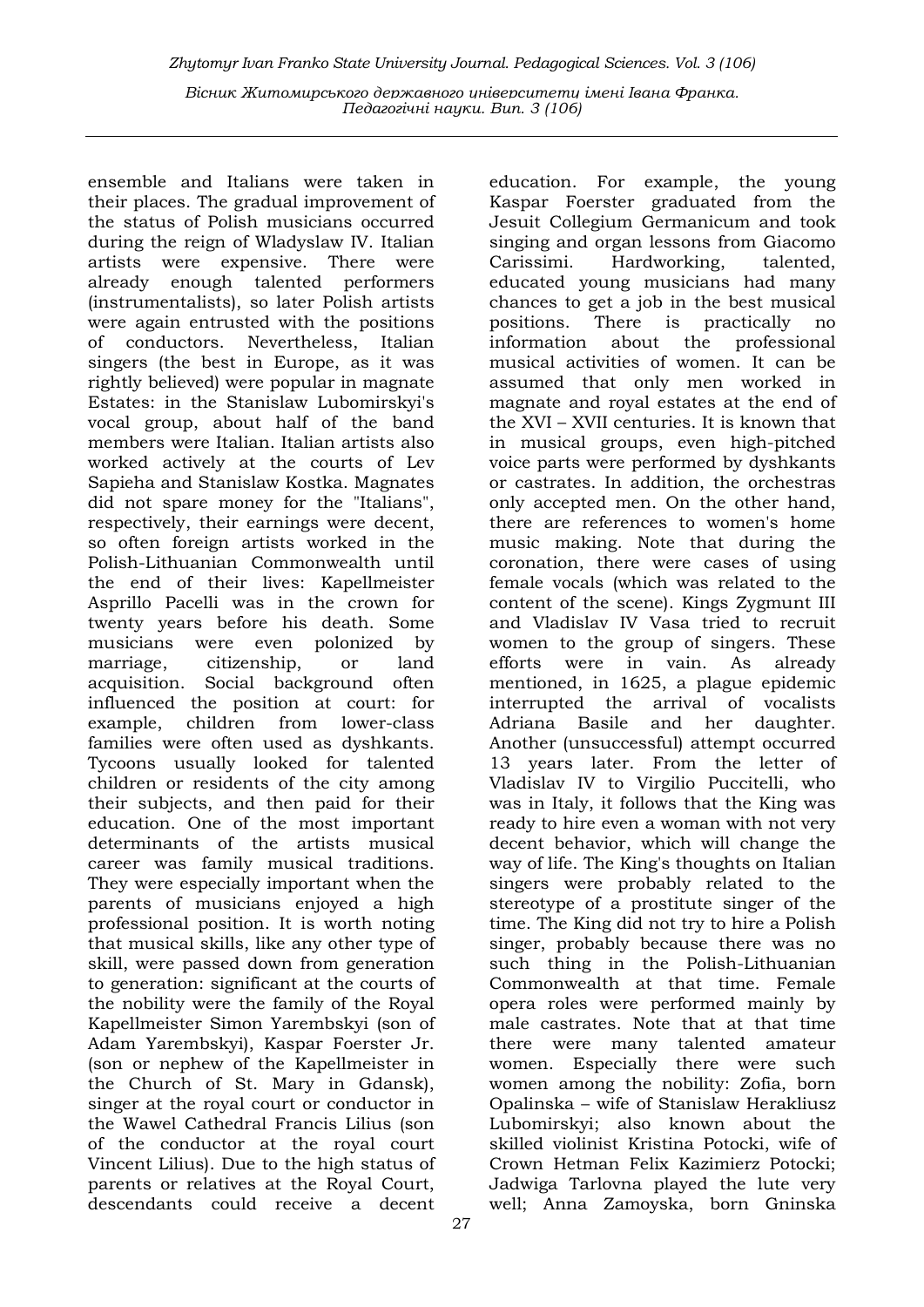ensemble and Italians were taken in their places. The gradual improvement of the status of Polish musicians occurred during the reign of Wladyslaw IV. Italian artists were expensive. There were already enough talented performers (instrumentalists), so later Polish artists were again entrusted with the positions of conductors. Nevertheless, Italian singers (the best in Europe, as it was rightly believed) were popular in magnate Estates: in the Stanislaw Lubomirskyi's vocal group, about half of the band members were Italian. Italian artists also worked actively at the courts of Lev Sapieha and Stanislaw Kostka. Magnates did not spare money for the "Italians", respectively, their earnings were decent, so often foreign artists worked in the Polish-Lithuanian Commonwealth until the end of their lives: Kapellmeister Asprillo Pacelli was in the crown for twenty years before his death. Some musicians were even polonized by marriage, citizenship, or land acquisition. Social background often influenced the position at court: for example, children from lower-class families were often used as dyshkants. Tycoons usually looked for talented children or residents of the city among their subjects, and then paid for their education. One of the most important determinants of the artists musical career was family musical traditions. They were especially important when the parents of musicians enjoyed a high professional position. It is worth noting that musical skills, like any other type of skill, were passed down from generation to generation: significant at the courts of the nobility were the family of the Royal Kapellmeister Simon Yarembskyi (son of Adam Yarembskyi), Kaspar Foerster Jr. (son or nephew of the Kapellmeister in the Church of St. Mary in Gdansk), singer at the royal court or conductor in the Wawel Cathedral Francis Lilius (son of the conductor at the royal court Vincent Lilius). Due to the high status of parents or relatives at the Royal Court, descendants could receive a decent

Kaspar Foerster graduated from the Jesuit Collegium Germanicum and took singing and organ lessons from Giacomo Carissimi. Hardworking, talented, educated young musicians had many chances to get a job in the best musical positions. There is practically no information about the professional musical activities of women. It can be assumed that only men worked in magnate and royal estates at the end of the XVI – XVII centuries. It is known that in musical groups, even high-pitched voice parts were performed by dyshkants or castrates. In addition, the orchestras only accepted men. On the other hand, there are references to women's home music making. Note that during the coronation, there were cases of using female vocals (which was related to the content of the scene). Kings Zygmunt III and Vladislav IV Vasa tried to recruit women to the group of singers. These efforts were in vain. As already mentioned, in 1625, a plague epidemic interrupted the arrival of vocalists Adriana Basile and her daughter. Another (unsuccessful) attempt occurred 13 years later. From the letter of Vladislav IV to Virgilio Puccitelli, who was in Italy, it follows that the King was ready to hire even a woman with not very decent behavior, which will change the way of life. The King's thoughts on Italian singers were probably related to the stereotype of a prostitute singer of the time. The King did not try to hire a Polish singer, probably because there was no such thing in the Polish-Lithuanian Commonwealth at that time. Female opera roles were performed mainly by male castrates. Note that at that time there were many talented amateur women. Especially there were such women among the nobility: Zofia, born Opalinska – wife of Stanislaw Herakliusz Lubomirskyi; also known about the skilled violinist Kristina Potocki, wife of Crown Hetman Felix Kazimierz Potocki; Jadwiga Tarlovna played the lute very well; Anna Zamoyska, born Gninska

education. For example, the young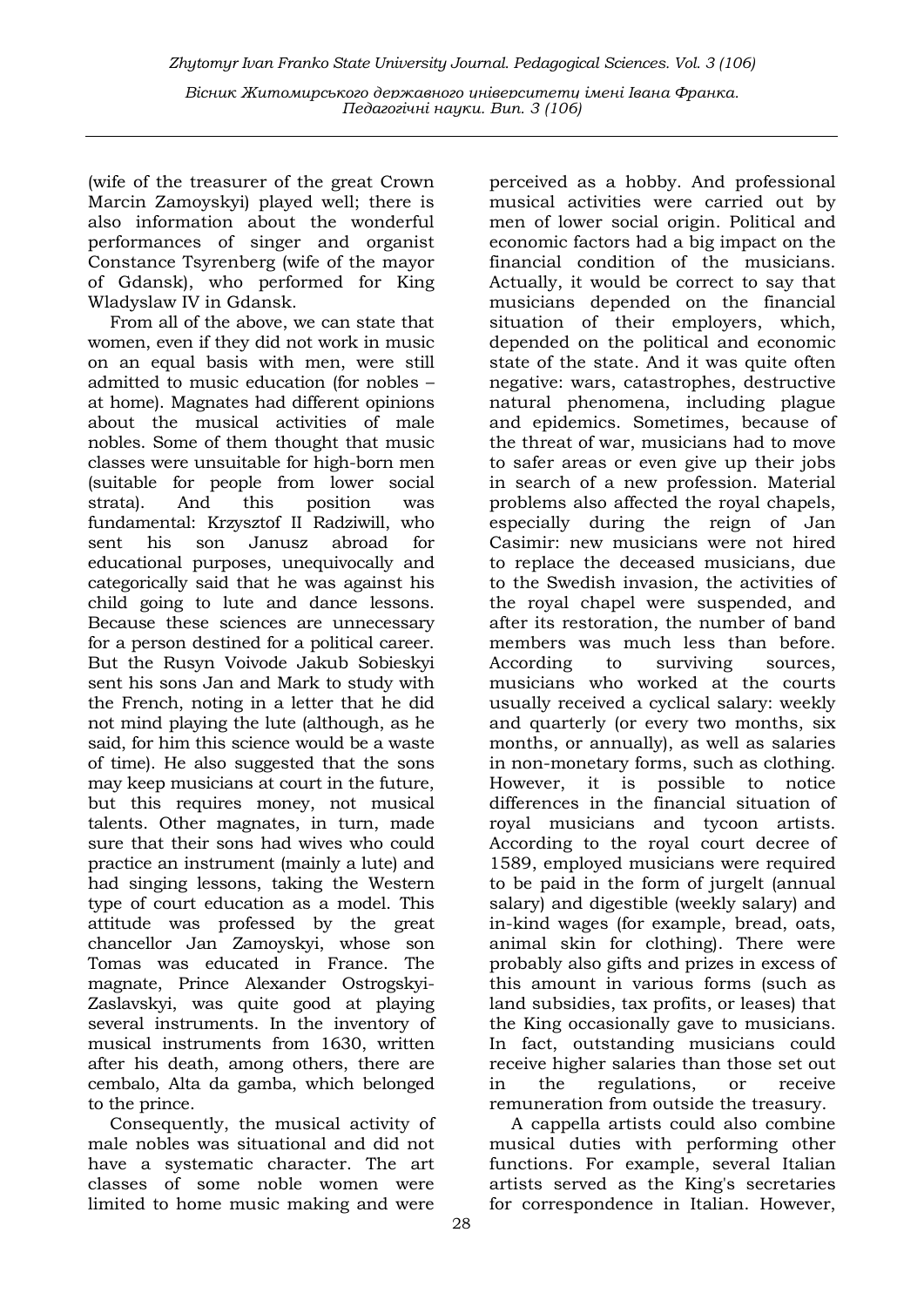(wife of the treasurer of the great Crown Marcin Zamoyskyi) played well; there is also information about the wonderful performances of singer and organist Constance Tsyrenberg (wife of the mayor of Gdansk), who performed for King Wladyslaw IV in Gdansk.

From all of the above, we can state that women, even if they did not work in music on an equal basis with men, were still admitted to music education (for nobles – at home). Magnates had different opinions about the musical activities of male nobles. Some of them thought that music classes were unsuitable for high-born men (suitable for people from lower social strata). And this position was fundamental: Krzysztof II Radziwill, who sent his son Janusz abroad for educational purposes, unequivocally and categorically said that he was against his child going to lute and dance lessons. Because these sciences are unnecessary for a person destined for a political career. But the Rusyn Voivode Jakub Sobieskyi sent his sons Jan and Mark to study with the French, noting in a letter that he did not mind playing the lute (although, as he said, for him this science would be a waste of time). He also suggested that the sons may keep musicians at court in the future, but this requires money, not musical talents. Other magnates, in turn, made sure that their sons had wives who could practice an instrument (mainly a lute) and had singing lessons, taking the Western type of court education as a model. This attitude was professed by the great chancellor Jan Zamoyskyi, whose son Tomas was educated in France. The magnate, Prince Alexander Ostrogskyi-Zaslavskyi, was quite good at playing several instruments. In the inventory of musical instruments from 1630, written after his death, among others, there are cembalo, Alta da gamba, which belonged to the prince.

Consequently, the musical activity of male nobles was situational and did not have a systematic character. The art classes of some noble women were limited to home music making and were

perceived as a hobby. And professional musical activities were carried out by men of lower social origin. Political and economic factors had a big impact on the financial condition of the musicians. Actually, it would be correct to say that musicians depended on the financial situation of their employers, which, depended on the political and economic state of the state. And it was quite often negative: wars, catastrophes, destructive natural phenomena, including plague and epidemics. Sometimes, because of the threat of war, musicians had to move to safer areas or even give up their jobs in search of a new profession. Material problems also affected the royal chapels, especially during the reign of Jan Casimir: new musicians were not hired to replace the deceased musicians, due to the Swedish invasion, the activities of the royal chapel were suspended, and after its restoration, the number of band members was much less than before. According to surviving sources, musicians who worked at the courts usually received a cyclical salary: weekly and quarterly (or every two months, six months, or annually), as well as salaries in non-monetary forms, such as clothing. However, it is possible to notice differences in the financial situation of royal musicians and tycoon artists. According to the royal court decree of 1589, employed musicians were required to be paid in the form of jurgelt (annual salary) and digestible (weekly salary) and in-kind wages (for example, bread, oats, animal skin for clothing). There were probably also gifts and prizes in excess of this amount in various forms (such as land subsidies, tax profits, or leases) that the King occasionally gave to musicians. In fact, outstanding musicians could receive higher salaries than those set out in the regulations, or receive remuneration from outside the treasury.

A cappella artists could also combine musical duties with performing other functions. For example, several Italian artists served as the King's secretaries for correspondence in Italian. However,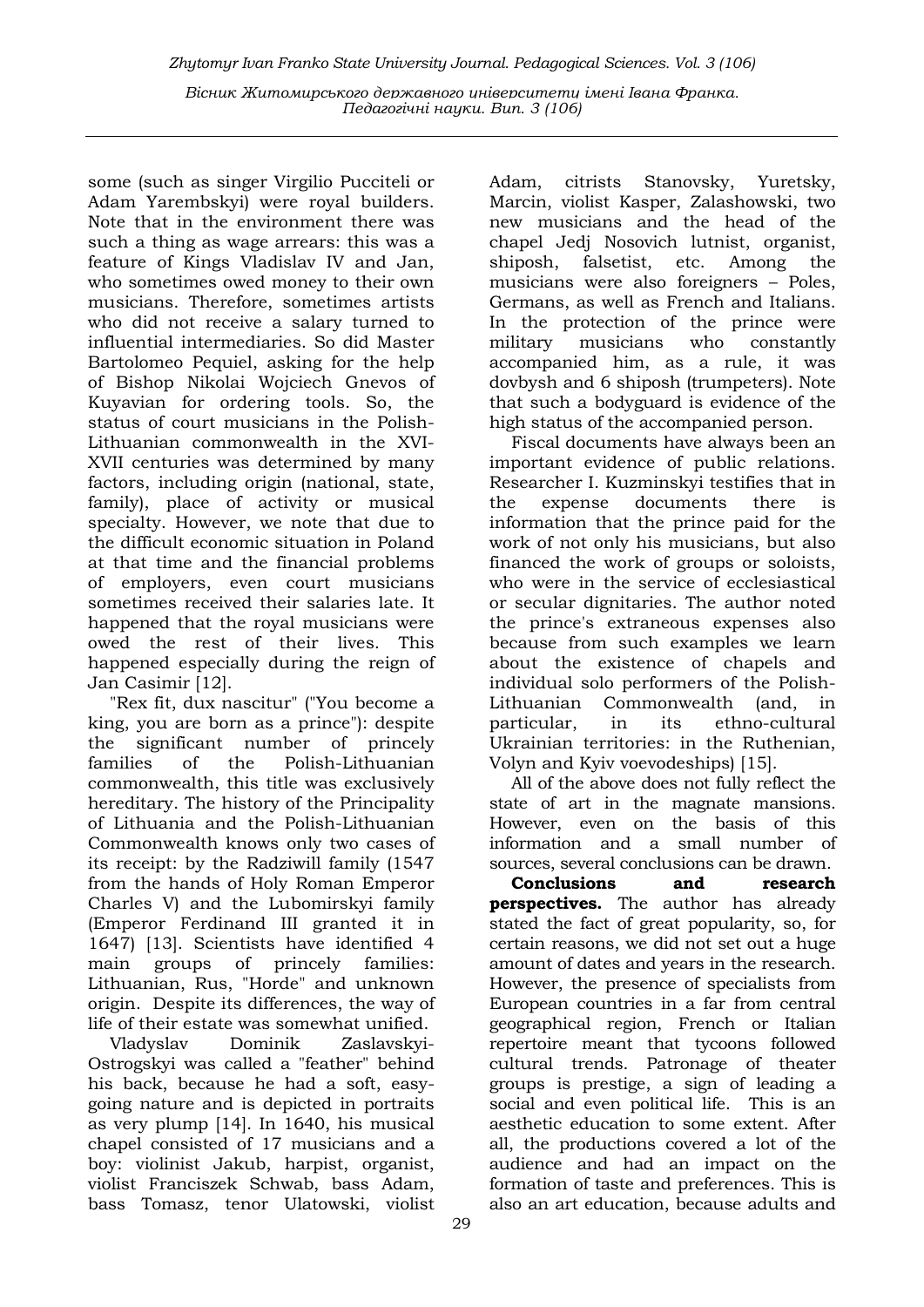some (such as singer Virgilio Pucciteli or Adam Yarembskyi) were royal builders. Note that in the environment there was such a thing as wage arrears: this was a feature of Kings Vladislav IV and Jan, who sometimes owed money to their own musicians. Therefore, sometimes artists who did not receive a salary turned to influential intermediaries. So did Master Bartolomeo Pequiel, asking for the help of Bishop Nikolai Wojciech Gnevos of Kuyavian for ordering tools. So, the status of court musicians in the Polish-Lithuanian commonwealth in the XVI-XVII centuries was determined by many factors, including origin (national, state, family), place of activity or musical specialty. However, we note that due to the difficult economic situation in Poland at that time and the financial problems of employers, even court musicians sometimes received their salaries late. It happened that the royal musicians were owed the rest of their lives. This happened especially during the reign of Jan Casimir [12].

"Rex fit, dux nascitur" ("You become a king, you are born as a prince"): despite the significant number of princely families of the Polish-Lithuanian commonwealth, this title was exclusively hereditary. The history of the Principality of Lithuania and the Polish-Lithuanian Commonwealth knows only two cases of its receipt: by the Radziwill family (1547 from the hands of Holy Roman Emperor Charles V) and the Lubomirskyi family (Emperor Ferdinand III granted it in 1647) [13]. Scientists have identified 4 main groups of princely families: Lithuanian, Rus, "Horde" and unknown origin. Despite its differences, the way of life of their estate was somewhat unified.

Vladyslav Dominik Zaslavskyi-Ostrogskyi was called a "feather" behind his back, because he had a soft, easygoing nature and is depicted in portraits as very plump [14]. In 1640, his musical chapel consisted of 17 musicians and a boy: violinist Jakub, harpist, organist, violist Franciszek Schwab, bass Adam, bass Tomasz, tenor Ulatowski, violist Adam, citrists Stanovsky, Yuretsky, Marcin, violist Kasper, Zalashowski, two new musicians and the head of the chapel Jedj Nosovich lutnist, organist, shiposh, falsetist, etc. Among the musicians were also foreigners – Poles, Germans, as well as French and Italians. In the protection of the prince were military musicians who constantly accompanied him, as a rule, it was dovbysh and 6 shiposh (trumpeters). Note that such a bodyguard is evidence of the high status of the accompanied person.

Fiscal documents have always been an important evidence of public relations. Researcher I. Kuzminskyi testifies that in the expense documents there is information that the prince paid for the work of not only his musicians, but also financed the work of groups or soloists, who were in the service of ecclesiastical or secular dignitaries. The author noted the prince's extraneous expenses also because from such examples we learn about the existence of chapels and individual solo performers of the Polish-Lithuanian Commonwealth (and, in particular, in its ethno-cultural Ukrainian territories: in the Ruthenian, Volyn and Kyiv voevodeships) [15].

All of the above does not fully reflect the state of art in the magnate mansions. However, even on the basis of this information and a small number of sources, several conclusions can be drawn.

Conclusions and research **perspectives.** The author has already stated the fact of great popularity, so, for certain reasons, we did not set out a huge amount of dates and years in the research. However, the presence of specialists from European countries in a far from central geographical region, French or Italian repertoire meant that tycoons followed cultural trends. Patronage of theater groups is prestige, a sign of leading a social and even political life. This is an aesthetic education to some extent. After all, the productions covered a lot of the audience and had an impact on the formation of taste and preferences. This is also an art education, because adults and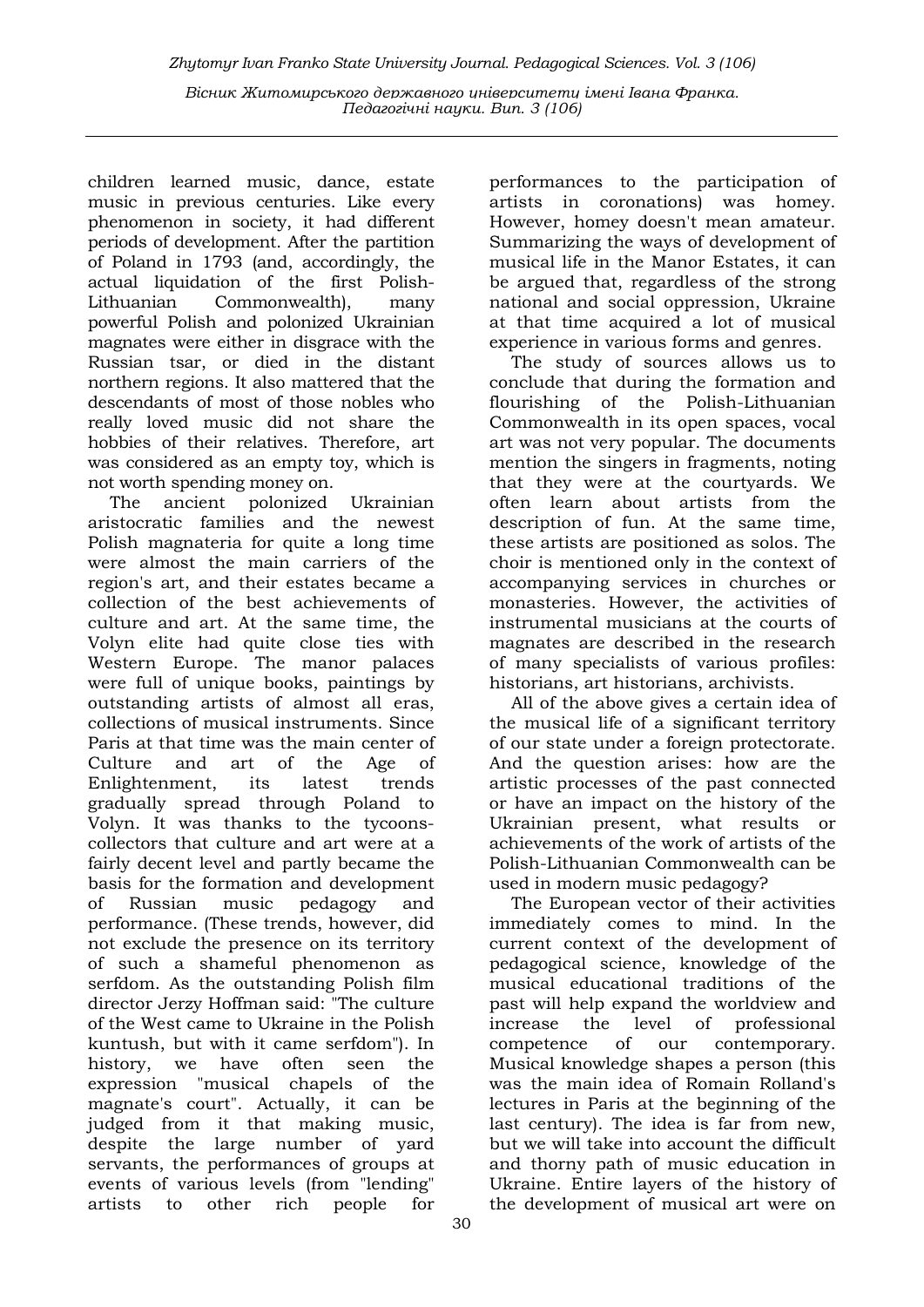children learned music, dance, estate music in previous centuries. Like every phenomenon in society, it had different periods of development. After the partition of Poland in 1793 (and, accordingly, the actual liquidation of the first Polish-Lithuanian Commonwealth), many powerful Polish and polonized Ukrainian magnates were either in disgrace with the Russian tsar, or died in the distant northern regions. It also mattered that the descendants of most of those nobles who really loved music did not share the hobbies of their relatives. Therefore, art was considered as an empty toy, which is not worth spending money on.

The ancient polonized Ukrainian aristocratic families and the newest Polish magnateria for quite a long time were almost the main carriers of the region's art, and their estates became a collection of the best achievements of culture and art. At the same time, the Volyn elite had quite close ties with Western Europe. The manor palaces were full of unique books, paintings by outstanding artists of almost all eras, collections of musical instruments. Since Paris at that time was the main center of Culture and art of the Age of Enlightenment, its latest trends gradually spread through Poland to Volyn. It was thanks to the tycoonscollectors that culture and art were at a fairly decent level and partly became the basis for the formation and development of Russian music pedagogy and performance. (These trends, however, did not exclude the presence on its territory of such a shameful phenomenon as serfdom. As the outstanding Polish film director Jerzy Hoffman said: "The culture of the West came to Ukraine in the Polish kuntush, but with it came serfdom"). In history, we have often seen the expression "musical chapels of the magnate's court". Actually, it can be judged from it that making music, despite the large number of yard servants, the performances of groups at events of various levels (from "lending" artists to other rich people for

performances to the participation of artists in coronations) was homey. However, homey doesn't mean amateur. Summarizing the ways of development of musical life in the Manor Estates, it can be argued that, regardless of the strong national and social oppression, Ukraine at that time acquired a lot of musical experience in various forms and genres.

The study of sources allows us to conclude that during the formation and flourishing of the Polish-Lithuanian Commonwealth in its open spaces, vocal art was not very popular. The documents mention the singers in fragments, noting that they were at the courtyards. We often learn about artists from the description of fun. At the same time, these artists are positioned as solos. The choir is mentioned only in the context of accompanying services in churches or monasteries. However, the activities of instrumental musicians at the courts of magnates are described in the research of many specialists of various profiles: historians, art historians, archivists.

All of the above gives a certain idea of the musical life of a significant territory of our state under a foreign protectorate. And the question arises: how are the artistic processes of the past connected or have an impact on the history of the Ukrainian present, what results or achievements of the work of artists of the Polish-Lithuanian Commonwealth can be used in modern music pedagogy?

The European vector of their activities immediately comes to mind. In the current context of the development of pedagogical science, knowledge of the musical educational traditions of the past will help expand the worldview and increase the level of professional competence of our contemporary. Musical knowledge shapes a person (this was the main idea of Romain Rolland's lectures in Paris at the beginning of the last century). The idea is far from new, but we will take into account the difficult and thorny path of music education in Ukraine. Entire layers of the history of the development of musical art were on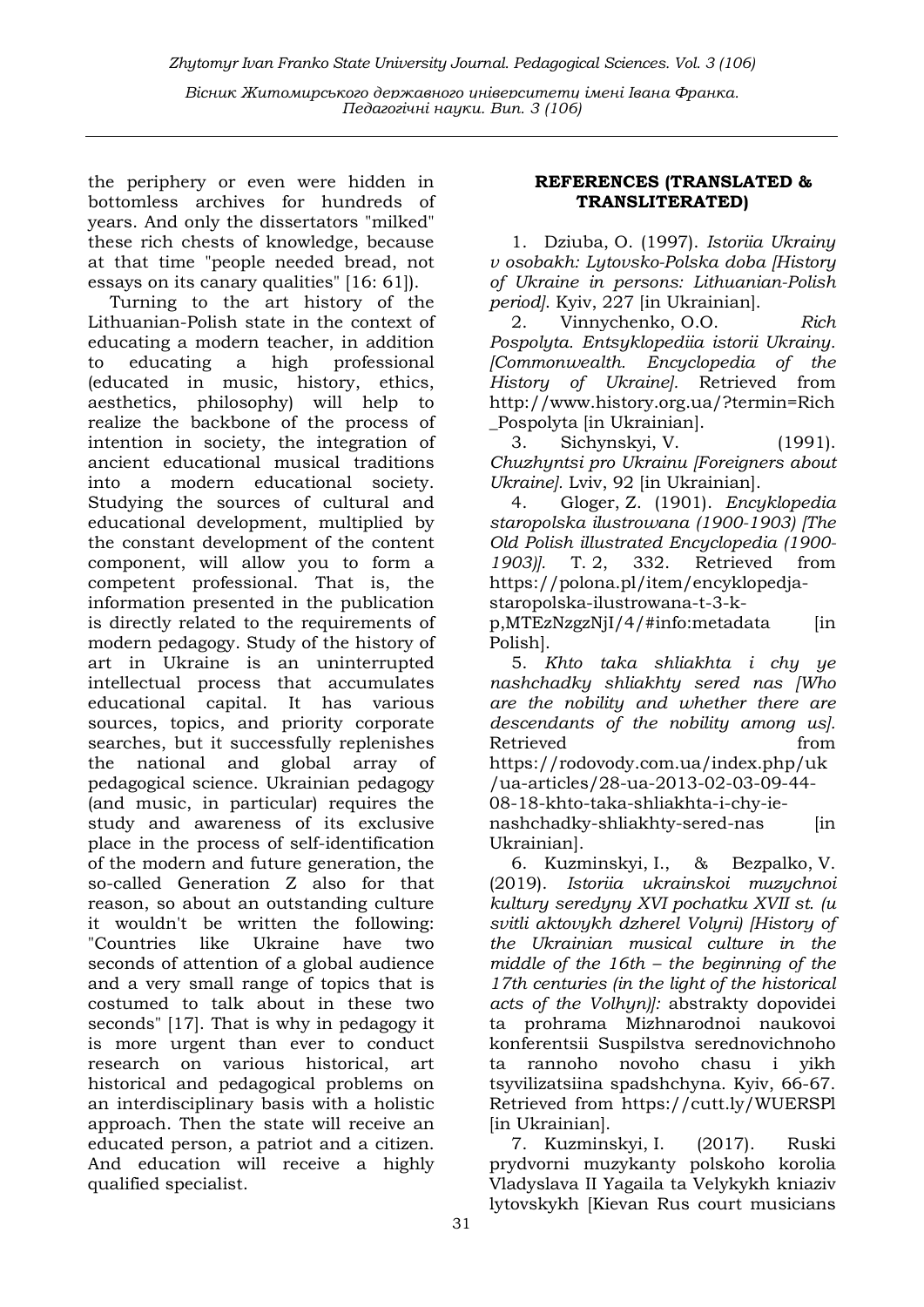Zhytomyr Ivan Franko State University Journal. Рedagogical Sciences. Vol. 3 (106)

Вісник Житомирського державного університету імені Івана Франка. Педагогічні науки. Вип. 3 (106)

the periphery or even were hidden in bottomless archives for hundreds of years. And only the dissertators "milked" these rich chests of knowledge, because at that time "people needed bread, not essays on its canary qualities" [16: 61]).

Turning to the art history of the Lithuanian-Polish state in the context of educating a modern teacher, in addition to educating a high professional (educated in music, history, ethics, aesthetics, philosophy) will help to realize the backbone of the process of intention in society, the integration of ancient educational musical traditions into a modern educational society. Studying the sources of cultural and educational development, multiplied by the constant development of the content component, will allow you to form a competent professional. That is, the information presented in the publication is directly related to the requirements of modern pedagogy. Study of the history of art in Ukraine is an uninterrupted intellectual process that accumulates educational capital. It has various sources, topics, and priority corporate searches, but it successfully replenishes the national and global array of pedagogical science. Ukrainian pedagogy (and music, in particular) requires the study and awareness of its exclusive place in the process of self-identification of the modern and future generation, the so-called Generation Z also for that reason, so about an outstanding culture it wouldn't be written the following: "Countries like Ukraine have two seconds of attention of a global audience and a very small range of topics that is costumed to talk about in these two seconds" [17]. That is why in pedagogy it is more urgent than ever to conduct research on various historical, art historical and pedagogical problems on an interdisciplinary basis with a holistic approach. Then the state will receive an educated person, a patriot and a citizen. And education will receive a highly qualified specialist.

## REFERENCES (TRANSLATED & TRANSLITERATED)

1. Dziuba, O. (1997). Istoriia Ukrainy v osobakh: Lytovsko-Polska doba [History of Ukraine in persons: Lithuanian-Polish period]. Kyiv, 227 [in Ukrainian].

2. Vinnychenko, O.O. Rich Pospolyta. Entsyklopediia istorii Ukrainy. [Commonwealth. Encyclopedia of the History of Ukraine]. Retrieved from http://www.history.org.ua/?termin=Rich \_Pospolyta [in Ukrainian].

3. Sichynskyi, V. (1991). Chuzhyntsi pro Ukrainu [Foreigners about Ukraine]. Lviv, 92 [in Ukrainian].

4. Gloger, Z. (1901). Encyklopedia staropolska ilustrowana (1900-1903) [The Old Polish illustrated Encyclopedia (1900- 1903)]. T. 2, 332. Retrieved from https://polona.pl/item/encyklopedjastaropolska-ilustrowana-t-3-k-

 $p,MTEzNzzNjI/4/$ #info:metadata [in Polish].

5. Khto taka shliakhta i chy ye nashchadky shliakhty sered nas [Who are the nobility and whether there are descendants of the nobility among us]. Retrieved from https://rodovody.com.ua/index.php/uk /ua-articles/28-ua-2013-02-03-09-44- 08-18-khto-taka-shliakhta-i-chy-ienashchadky-shliakhty-sered-nas [in Ukrainian].

6. Kuzminskyi, I., & Bezpalko, V. (2019). Istoriia ukrainskoi muzychnoi kultury seredyny XVI pochatku XVII st. (u svitli aktovykh dzherel Volyni) [History of the Ukrainian musical culture in the middle of the 16th – the beginning of the 17th centuries (in the light of the historical acts of the Volhyn)]: abstrakty dopovidei ta prohrama Mizhnarodnoi naukovoi konferentsii Suspilstva serednovichnoho ta rannoho novoho chasu i yikh tsyvilizatsiina spadshchyna. Kyiv, 66-67. Retrieved from https://cutt.ly/WUERSPl [in Ukrainian].

7. Kuzminskyi, I. (2017). Ruski prydvorni muzykanty polskoho korolia Vladyslava II Yagaila ta Velykykh kniaziv lytovskykh [Kievan Rus court musicians